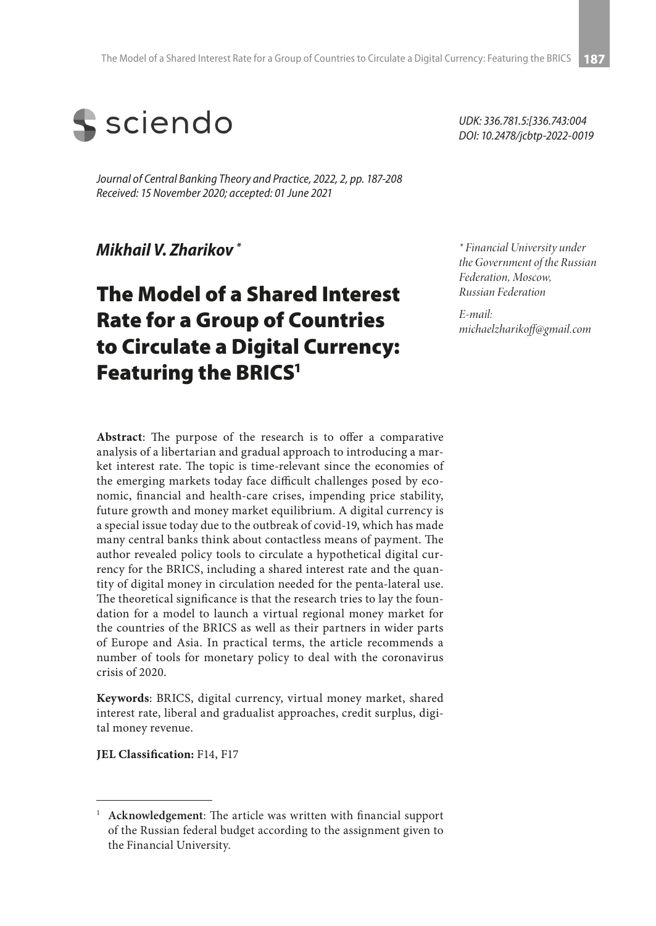

*Journal of Central Banking Theory and Practice, 2022, 2, pp. 187-208 Received: 15 November 2020; accepted: 01 June 2021*

*Mikhail V. Zharikov \**

# The Model of a Shared Interest Rate for a Group of Countries to Circulate a Digital Currency: Featuring the BRICS<sup>1</sup>

*UDK: 336.781.5:[336.743:004 DOI: 10.2478/jcbtp-2022-0019*

*\* Financial University under the Government of the Russian Federation, Moscow, Russian Federation*

*E-mail: michaelzharikoff@gmail.com*

**Abstract**: The purpose of the research is to offer a comparative analysis of a libertarian and gradual approach to introducing a market interest rate. The topic is time-relevant since the economies of the emerging markets today face difficult challenges posed by economic, financial and health-care crises, impending price stability, future growth and money market equilibrium. A digital currency is a special issue today due to the outbreak of covid-19, which has made many central banks think about contactless means of payment. The author revealed policy tools to circulate a hypothetical digital currency for the BRICS, including a shared interest rate and the quantity of digital money in circulation needed for the penta-lateral use. The theoretical significance is that the research tries to lay the foundation for a model to launch a virtual regional money market for the countries of the BRICS as well as their partners in wider parts of Europe and Asia. In practical terms, the article recommends a number of tools for monetary policy to deal with the coronavirus crisis of 2020.

**Keywords**: BRICS, digital currency, virtual money market, shared interest rate, liberal and gradualist approaches, credit surplus, digital money revenue.

**JEL Classification:** F14, F17

<sup>1</sup> **Acknowledgement**: The article was written with financial support of the Russian federal budget according to the assignment given to the Financial University.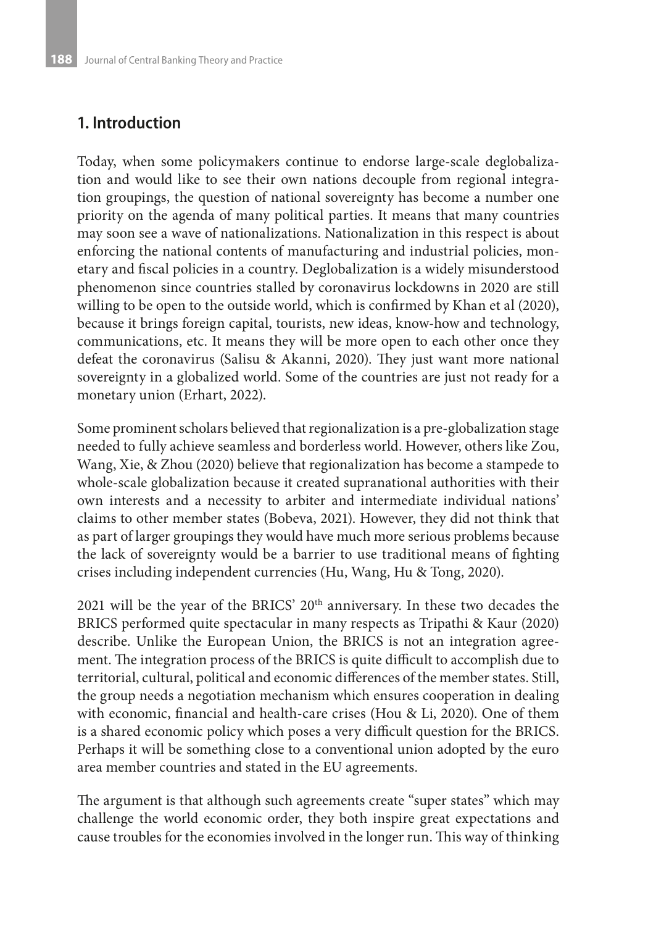# **1. Introduction**

Today, when some policymakers continue to endorse large-scale deglobalization and would like to see their own nations decouple from regional integration groupings, the question of national sovereignty has become a number one priority on the agenda of many political parties. It means that many countries may soon see a wave of nationalizations. Nationalization in this respect is about enforcing the national contents of manufacturing and industrial policies, monetary and fiscal policies in a country. Deglobalization is a widely misunderstood phenomenon since countries stalled by coronavirus lockdowns in 2020 are still willing to be open to the outside world, which is confirmed by Khan et al (2020), because it brings foreign capital, tourists, new ideas, know-how and technology, communications, etc. It means they will be more open to each other once they defeat the coronavirus (Salisu & Akanni, 2020). They just want more national sovereignty in a globalized world. Some of the countries are just not ready for a monetary union (Erhart, 2022).

Some prominent scholars believed that regionalization is a pre-globalization stage needed to fully achieve seamless and borderless world. However, others like Zou, Wang, Xie, & Zhou (2020) believe that regionalization has become a stampede to whole-scale globalization because it created supranational authorities with their own interests and a necessity to arbiter and intermediate individual nations' claims to other member states (Bobeva, 2021). However, they did not think that as part of larger groupings they would have much more serious problems because the lack of sovereignty would be a barrier to use traditional means of fighting crises including independent currencies (Hu, Wang, Hu & Tong, 2020).

2021 will be the year of the BRICS' 20<sup>th</sup> anniversary. In these two decades the BRICS performed quite spectacular in many respects as Tripathi & Kaur (2020) describe. Unlike the European Union, the BRICS is not an integration agreement. The integration process of the BRICS is quite difficult to accomplish due to territorial, cultural, political and economic differences of the member states. Still, the group needs a negotiation mechanism which ensures cooperation in dealing with economic, financial and health-care crises (Hou & Li, 2020). One of them is a shared economic policy which poses a very difficult question for the BRICS. Perhaps it will be something close to a conventional union adopted by the euro area member countries and stated in the EU agreements.

The argument is that although such agreements create "super states" which may challenge the world economic order, they both inspire great expectations and cause troubles for the economies involved in the longer run. This way of thinking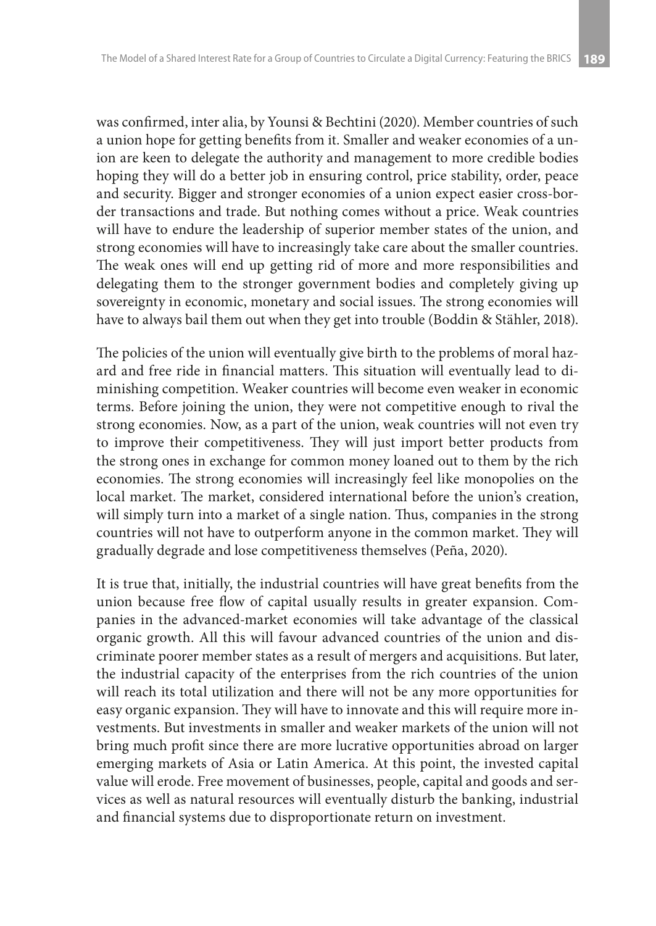was confirmed, inter alia, by Younsi & Bechtini (2020). Member countries of such a union hope for getting benefits from it. Smaller and weaker economies of a union are keen to delegate the authority and management to more credible bodies hoping they will do a better job in ensuring control, price stability, order, peace and security. Bigger and stronger economies of a union expect easier cross-border transactions and trade. But nothing comes without a price. Weak countries will have to endure the leadership of superior member states of the union, and strong economies will have to increasingly take care about the smaller countries. The weak ones will end up getting rid of more and more responsibilities and delegating them to the stronger government bodies and completely giving up sovereignty in economic, monetary and social issues. The strong economies will have to always bail them out when they get into trouble (Boddin & Stähler, 2018).

The policies of the union will eventually give birth to the problems of moral hazard and free ride in financial matters. This situation will eventually lead to diminishing competition. Weaker countries will become even weaker in economic terms. Before joining the union, they were not competitive enough to rival the strong economies. Now, as a part of the union, weak countries will not even try to improve their competitiveness. They will just import better products from the strong ones in exchange for common money loaned out to them by the rich economies. The strong economies will increasingly feel like monopolies on the local market. The market, considered international before the union's creation, will simply turn into a market of a single nation. Thus, companies in the strong countries will not have to outperform anyone in the common market. They will gradually degrade and lose competitiveness themselves (Peña, 2020).

It is true that, initially, the industrial countries will have great benefits from the union because free flow of capital usually results in greater expansion. Companies in the advanced-market economies will take advantage of the classical organic growth. All this will favour advanced countries of the union and discriminate poorer member states as a result of mergers and acquisitions. But later, the industrial capacity of the enterprises from the rich countries of the union will reach its total utilization and there will not be any more opportunities for easy organic expansion. They will have to innovate and this will require more investments. But investments in smaller and weaker markets of the union will not bring much profit since there are more lucrative opportunities abroad on larger emerging markets of Asia or Latin America. At this point, the invested capital value will erode. Free movement of businesses, people, capital and goods and services as well as natural resources will eventually disturb the banking, industrial and financial systems due to disproportionate return on investment.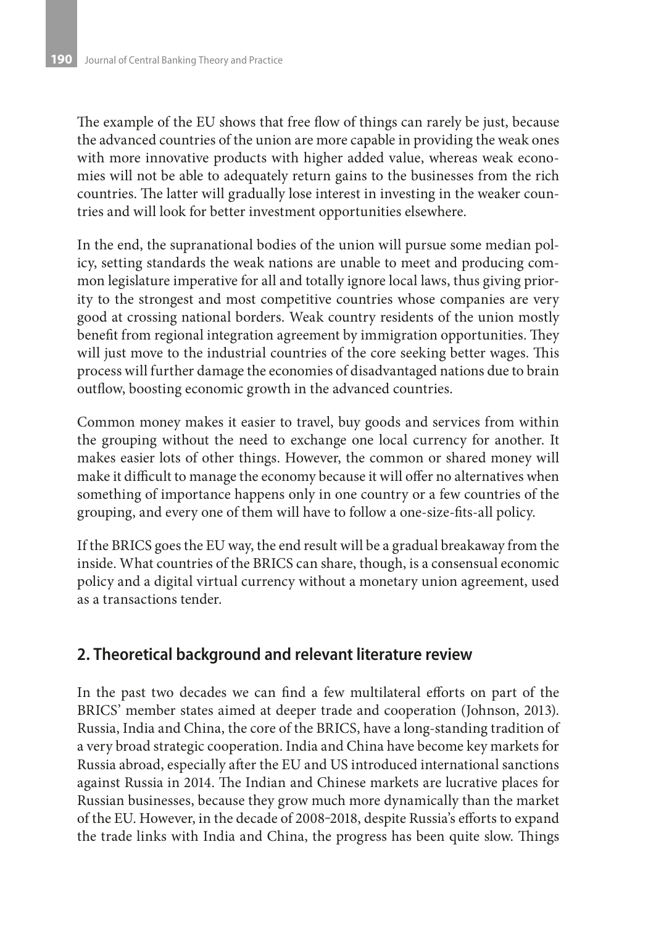The example of the EU shows that free flow of things can rarely be just, because the advanced countries of the union are more capable in providing the weak ones with more innovative products with higher added value, whereas weak economies will not be able to adequately return gains to the businesses from the rich countries. The latter will gradually lose interest in investing in the weaker countries and will look for better investment opportunities elsewhere.

In the end, the supranational bodies of the union will pursue some median policy, setting standards the weak nations are unable to meet and producing common legislature imperative for all and totally ignore local laws, thus giving priority to the strongest and most competitive countries whose companies are very good at crossing national borders. Weak country residents of the union mostly benefit from regional integration agreement by immigration opportunities. They will just move to the industrial countries of the core seeking better wages. This process will further damage the economies of disadvantaged nations due to brain outflow, boosting economic growth in the advanced countries.

Common money makes it easier to travel, buy goods and services from within the grouping without the need to exchange one local currency for another. It makes easier lots of other things. However, the common or shared money will make it difficult to manage the economy because it will offer no alternatives when something of importance happens only in one country or a few countries of the grouping, and every one of them will have to follow a one-size-fits-all policy.

If the BRICS goes the EU way, the end result will be a gradual breakaway from the inside. What countries of the BRICS can share, though, is a consensual economic policy and a digital virtual currency without a monetary union agreement, used as a transactions tender.

# **2. Theoretical background and relevant literature review**

In the past two decades we can find a few multilateral efforts on part of the BRICS' member states aimed at deeper trade and cooperation (Johnson, 2013). Russia, India and China, the core of the BRICS, have a long-standing tradition of a very broad strategic cooperation. India and China have become key markets for Russia abroad, especially after the EU and US introduced international sanctions against Russia in 2014. The Indian and Chinese markets are lucrative places for Russian businesses, because they grow much more dynamically than the market of the EU. However, in the decade of 2008-2018, despite Russia's efforts to expand the trade links with India and China, the progress has been quite slow. Things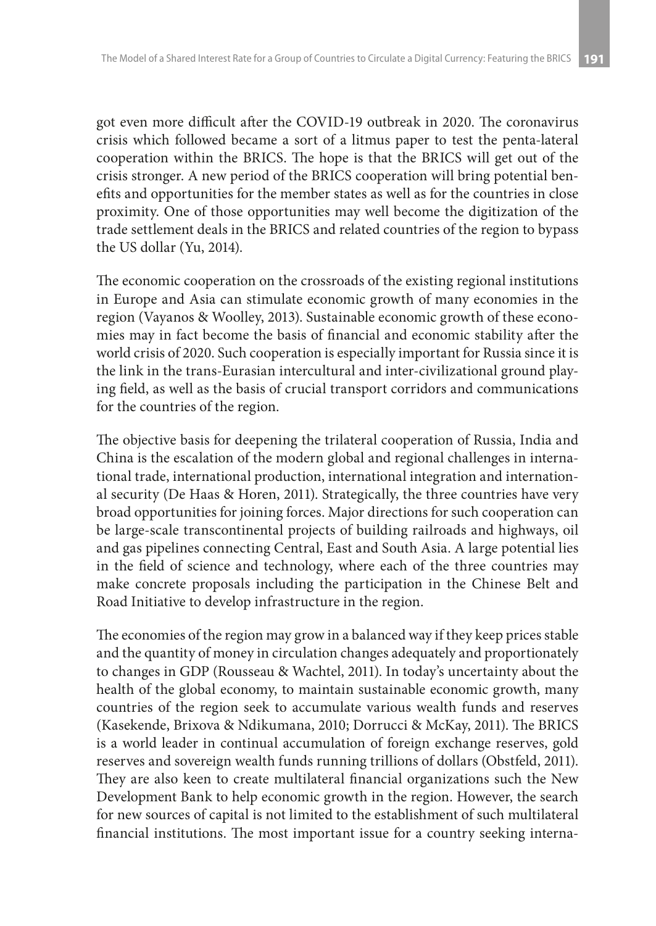got even more difficult after the COVID-19 outbreak in 2020. The coronavirus crisis which followed became a sort of a litmus paper to test the penta-lateral cooperation within the BRICS. The hope is that the BRICS will get out of the crisis stronger. A new period of the BRICS cooperation will bring potential benefits and opportunities for the member states as well as for the countries in close proximity. One of those opportunities may well become the digitization of the trade settlement deals in the BRICS and related countries of the region to bypass the US dollar (Yu, 2014).

The economic cooperation on the crossroads of the existing regional institutions in Europe and Asia can stimulate economic growth of many economies in the region (Vayanos & Woolley, 2013). Sustainable economic growth of these economies may in fact become the basis of financial and economic stability after the world crisis of 2020. Such cooperation is especially important for Russia since it is the link in the trans-Eurasian intercultural and inter-civilizational ground playing field, as well as the basis of crucial transport corridors and communications for the countries of the region.

The objective basis for deepening the trilateral cooperation of Russia, India and China is the escalation of the modern global and regional challenges in international trade, international production, international integration and international security (De Haas & Horen, 2011). Strategically, the three countries have very broad opportunities for joining forces. Major directions for such cooperation can be large-scale transcontinental projects of building railroads and highways, oil and gas pipelines connecting Central, East and South Asia. A large potential lies in the field of science and technology, where each of the three countries may make concrete proposals including the participation in the Chinese Belt and Road Initiative to develop infrastructure in the region.

The economies of the region may grow in a balanced way if they keep prices stable and the quantity of money in circulation changes adequately and proportionately to changes in GDP (Rousseau & Wachtel, 2011). In today's uncertainty about the health of the global economy, to maintain sustainable economic growth, many countries of the region seek to accumulate various wealth funds and reserves (Kasekende, Brixova & Ndikumana, 2010; Dorrucci & McKay, 2011). The BRICS is a world leader in continual accumulation of foreign exchange reserves, gold reserves and sovereign wealth funds running trillions of dollars (Obstfeld, 2011). They are also keen to create multilateral financial organizations such the New Development Bank to help economic growth in the region. However, the search for new sources of capital is not limited to the establishment of such multilateral financial institutions. The most important issue for a country seeking interna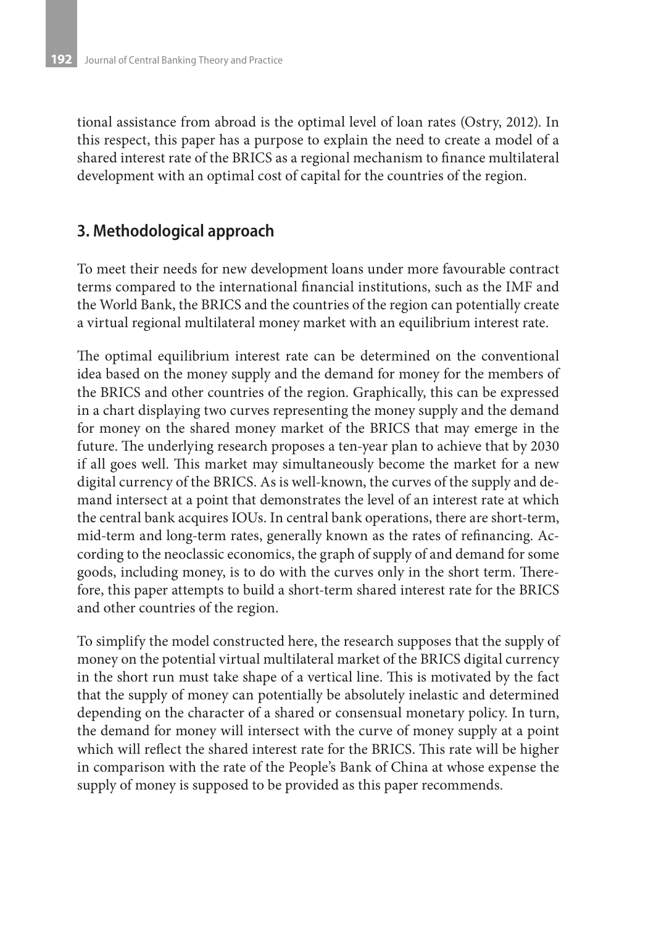tional assistance from abroad is the optimal level of loan rates (Ostry, 2012). In this respect, this paper has a purpose to explain the need to create a model of a shared interest rate of the BRICS as a regional mechanism to finance multilateral development with an optimal cost of capital for the countries of the region.

# **3. Methodological approach**

To meet their needs for new development loans under more favourable contract terms compared to the international financial institutions, such as the IMF and the World Bank, the BRICS and the countries of the region can potentially create a virtual regional multilateral money market with an equilibrium interest rate.

The optimal equilibrium interest rate can be determined on the conventional idea based on the money supply and the demand for money for the members of the BRICS and other countries of the region. Graphically, this can be expressed in a chart displaying two curves representing the money supply and the demand for money on the shared money market of the BRICS that may emerge in the future. The underlying research proposes a ten-year plan to achieve that by 2030 if all goes well. This market may simultaneously become the market for a new digital currency of the BRICS. As is well-known, the curves of the supply and demand intersect at a point that demonstrates the level of an interest rate at which the central bank acquires IOUs. In central bank operations, there are short-term, mid-term and long-term rates, generally known as the rates of refinancing. According to the neoclassic economics, the graph of supply of and demand for some goods, including money, is to do with the curves only in the short term. Therefore, this paper attempts to build a short-term shared interest rate for the BRICS and other countries of the region.

To simplify the model constructed here, the research supposes that the supply of money on the potential virtual multilateral market of the BRICS digital currency in the short run must take shape of a vertical line. This is motivated by the fact that the supply of money can potentially be absolutely inelastic and determined depending on the character of a shared or consensual monetary policy. In turn, the demand for money will intersect with the curve of money supply at a point which will reflect the shared interest rate for the BRICS. This rate will be higher in comparison with the rate of the People's Bank of China at whose expense the supply of money is supposed to be provided as this paper recommends.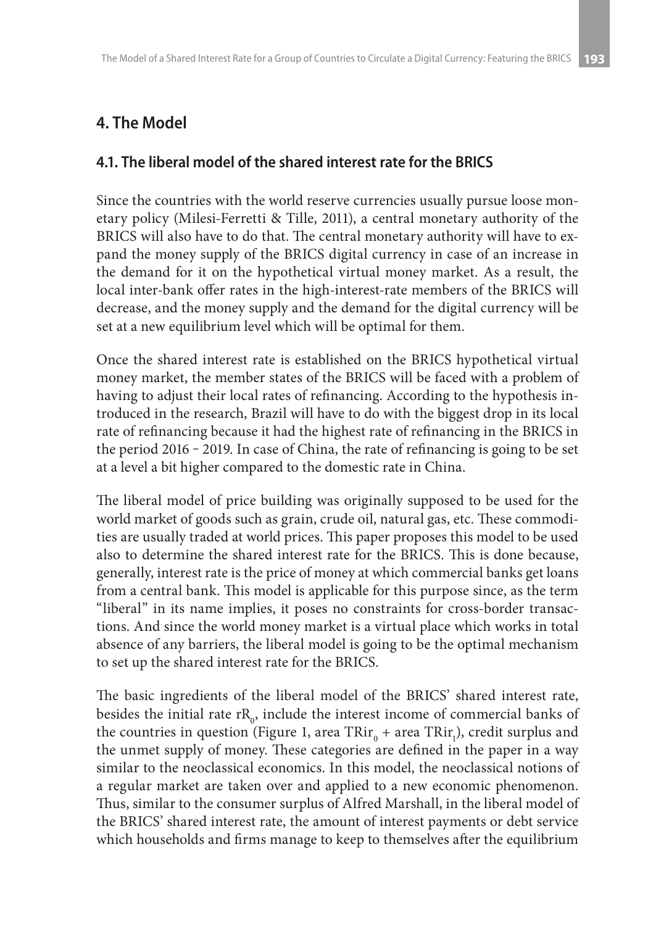# **4. The Model**

## **4.1. The liberal model of the shared interest rate for the BRICS**

Since the countries with the world reserve currencies usually pursue loose monetary policy (Milesi-Ferretti & Tille, 2011), a central monetary authority of the BRICS will also have to do that. The central monetary authority will have to expand the money supply of the BRICS digital currency in case of an increase in the demand for it on the hypothetical virtual money market. As a result, the local inter-bank offer rates in the high-interest-rate members of the BRICS will decrease, and the money supply and the demand for the digital currency will be set at a new equilibrium level which will be optimal for them.

Once the shared interest rate is established on the BRICS hypothetical virtual money market, the member states of the BRICS will be faced with a problem of having to adjust their local rates of refinancing. According to the hypothesis introduced in the research, Brazil will have to do with the biggest drop in its local rate of refinancing because it had the highest rate of refinancing in the BRICS in the period  $2016 - 2019$ . In case of China, the rate of refinancing is going to be set at a level a bit higher compared to the domestic rate in China.

The liberal model of price building was originally supposed to be used for the world market of goods such as grain, crude oil, natural gas, etc. These commodities are usually traded at world prices. This paper proposes this model to be used also to determine the shared interest rate for the BRICS. This is done because, generally, interest rate is the price of money at which commercial banks get loans from a central bank. This model is applicable for this purpose since, as the term "liberal" in its name implies, it poses no constraints for cross-border transactions. And since the world money market is a virtual place which works in total absence of any barriers, the liberal model is going to be the optimal mechanism to set up the shared interest rate for the BRICS.

The basic ingredients of the liberal model of the BRICS' shared interest rate, besides the initial rate  $\text{rR}_{0}$ , include the interest income of commercial banks of the countries in question (Figure 1, area  $\text{TRir}_{\scriptscriptstyle{0}}$  + area  $\text{TRir}_{\scriptscriptstyle{1}}$ ), credit surplus and the unmet supply of money. These categories are defined in the paper in a way similar to the neoclassical economics. In this model, the neoclassical notions of a regular market are taken over and applied to a new economic phenomenon. Thus, similar to the consumer surplus of Alfred Marshall, in the liberal model of the BRICS' shared interest rate, the amount of interest payments or debt service which households and firms manage to keep to themselves after the equilibrium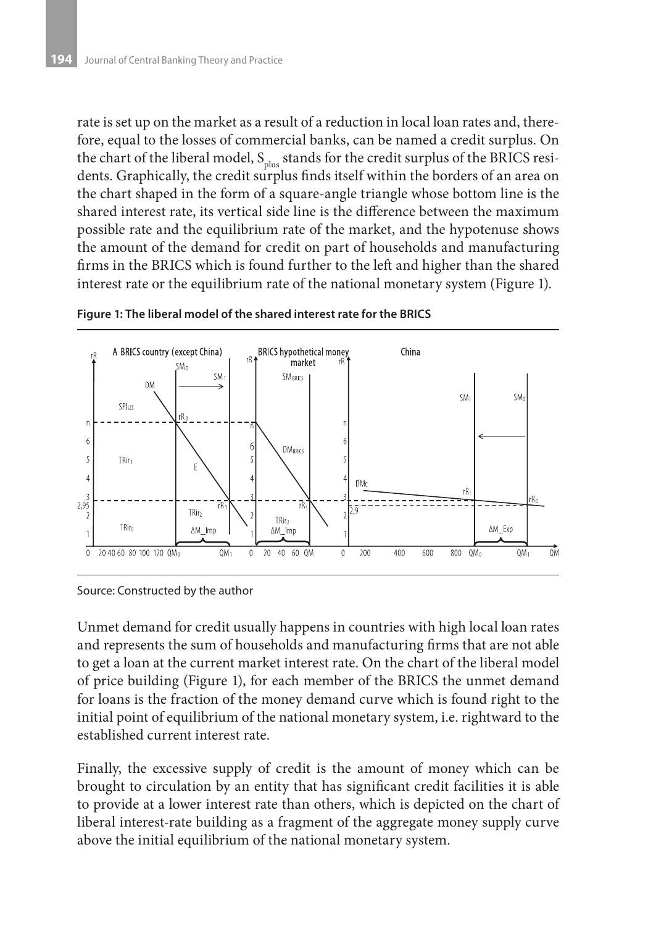rate is set up on the market as a result of a reduction in local loan rates and, therefore, equal to the losses of commercial banks, can be named a credit surplus. On the chart of the liberal model,  $S_{\text{plus}}$  stands for the credit surplus of the BRICS residents. Graphically, the credit surplus finds itself within the borders of an area on the chart shaped in the form of a square-angle triangle whose bottom line is the shared interest rate, its vertical side line is the difference between the maximum possible rate and the equilibrium rate of the market, and the hypotenuse shows the amount of the demand for credit on part of households and manufacturing firms in the BRICS which is found further to the left and higher than the shared interest rate or the equilibrium rate of the national monetary system (Figure 1).



**Figure 1: The liberal model of the shared interest rate for the BRICS** 

Source: Constructed by the author

Unmet demand for credit usually happens in countries with high local loan rates and represents the sum of households and manufacturing firms that are not able to get a loan at the current market interest rate. On the chart of the liberal model of price building (Figure 1), for each member of the BRICS the unmet demand for loans is the fraction of the money demand curve which is found right to the initial point of equilibrium of the national monetary system, i.e. rightward to the established current interest rate.

Finally, the excessive supply of credit is the amount of money which can be brought to circulation by an entity that has significant credit facilities it is able to provide at a lower interest rate than others, which is depicted on the chart of liberal interest-rate building as a fragment of the aggregate money supply curve above the initial equilibrium of the national monetary system.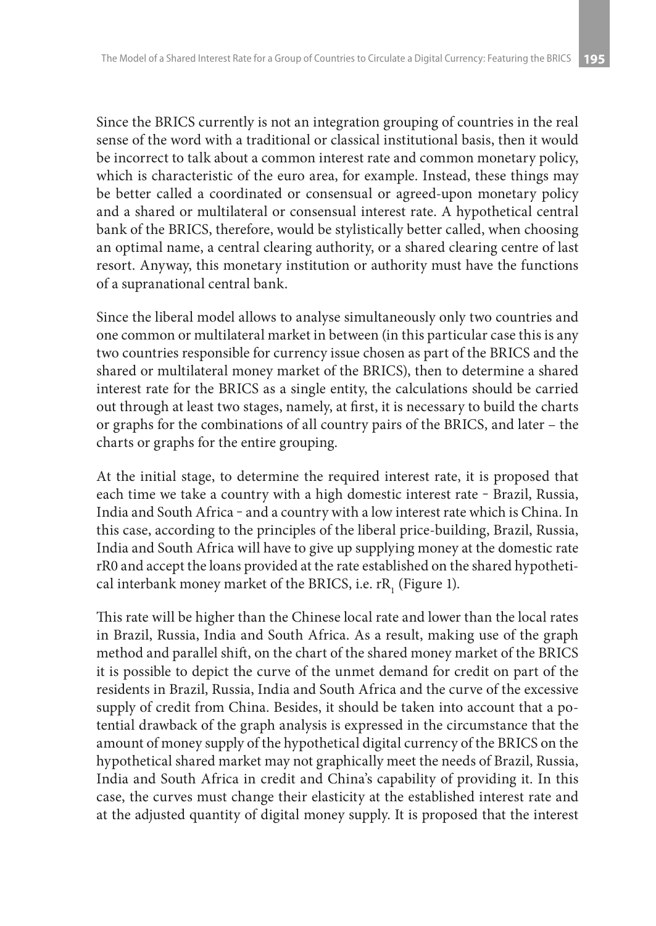Since the BRICS currently is not an integration grouping of countries in the real sense of the word with a traditional or classical institutional basis, then it would be incorrect to talk about a common interest rate and common monetary policy, which is characteristic of the euro area, for example. Instead, these things may be better called a coordinated or consensual or agreed-upon monetary policy and a shared or multilateral or consensual interest rate. A hypothetical central bank of the BRICS, therefore, would be stylistically better called, when choosing an optimal name, a central clearing authority, or a shared clearing centre of last resort. Anyway, this monetary institution or authority must have the functions of a supranational central bank.

Since the liberal model allows to analyse simultaneously only two countries and one common or multilateral market in between (in this particular case this is any two countries responsible for currency issue chosen as part of the BRICS and the shared or multilateral money market of the BRICS), then to determine a shared interest rate for the BRICS as a single entity, the calculations should be carried out through at least two stages, namely, at first, it is necessary to build the charts or graphs for the combinations of all country pairs of the BRICS, and later – the charts or graphs for the entire grouping.

At the initial stage, to determine the required interest rate, it is proposed that each time we take a country with a high domestic interest rate - Brazil, Russia, India and South Africa - and a country with a low interest rate which is China. In this case, according to the principles of the liberal price-building, Brazil, Russia, India and South Africa will have to give up supplying money at the domestic rate rR0 and accept the loans provided at the rate established on the shared hypothetical interbank money market of the BRICS, i.e. r $\text{R}_{_{1}}$  (Figure 1).

This rate will be higher than the Chinese local rate and lower than the local rates in Brazil, Russia, India and South Africa. As a result, making use of the graph method and parallel shift, on the chart of the shared money market of the BRICS it is possible to depict the curve of the unmet demand for credit on part of the residents in Brazil, Russia, India and South Africa and the curve of the excessive supply of credit from China. Besides, it should be taken into account that a potential drawback of the graph analysis is expressed in the circumstance that the amount of money supply of the hypothetical digital currency of the BRICS on the hypothetical shared market may not graphically meet the needs of Brazil, Russia, India and South Africa in credit and China's capability of providing it. In this case, the curves must change their elasticity at the established interest rate and at the adjusted quantity of digital money supply. It is proposed that the interest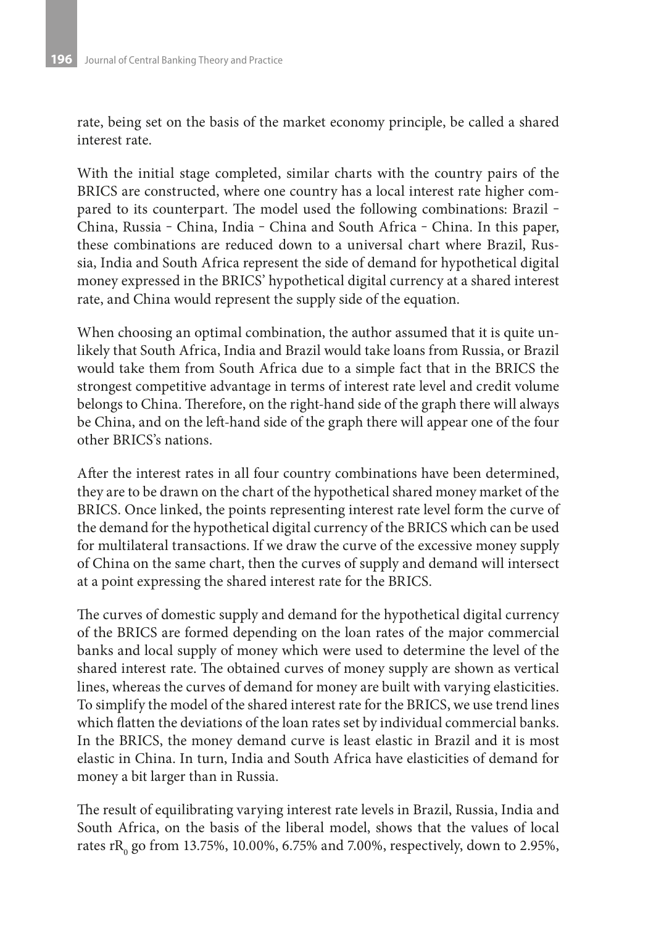rate, being set on the basis of the market economy principle, be called a shared interest rate.

With the initial stage completed, similar charts with the country pairs of the BRICS are constructed, where one country has a local interest rate higher compared to its counterpart. The model used the following combinations: Brazil – China, Russia - China, India - China and South Africa - China. In this paper, these combinations are reduced down to a universal chart where Brazil, Russia, India and South Africa represent the side of demand for hypothetical digital money expressed in the BRICS' hypothetical digital currency at a shared interest rate, and China would represent the supply side of the equation.

When choosing an optimal combination, the author assumed that it is quite unlikely that South Africa, India and Brazil would take loans from Russia, or Brazil would take them from South Africa due to a simple fact that in the BRICS the strongest competitive advantage in terms of interest rate level and credit volume belongs to China. Therefore, on the right-hand side of the graph there will always be China, and on the left-hand side of the graph there will appear one of the four other BRICS's nations.

After the interest rates in all four country combinations have been determined, they are to be drawn on the chart of the hypothetical shared money market of the BRICS. Once linked, the points representing interest rate level form the curve of the demand for the hypothetical digital currency of the BRICS which can be used for multilateral transactions. If we draw the curve of the excessive money supply of China on the same chart, then the curves of supply and demand will intersect at a point expressing the shared interest rate for the BRICS.

The curves of domestic supply and demand for the hypothetical digital currency of the BRICS are formed depending on the loan rates of the major commercial banks and local supply of money which were used to determine the level of the shared interest rate. The obtained curves of money supply are shown as vertical lines, whereas the curves of demand for money are built with varying elasticities. To simplify the model of the shared interest rate for the BRICS, we use trend lines which flatten the deviations of the loan rates set by individual commercial banks. In the BRICS, the money demand curve is least elastic in Brazil and it is most elastic in China. In turn, India and South Africa have elasticities of demand for money a bit larger than in Russia.

The result of equilibrating varying interest rate levels in Brazil, Russia, India and South Africa, on the basis of the liberal model, shows that the values of local rates r $\mathrm{R_{o}}$  go from 13.75%, 10.00%, 6.75% and 7.00%, respectively, down to 2.95%,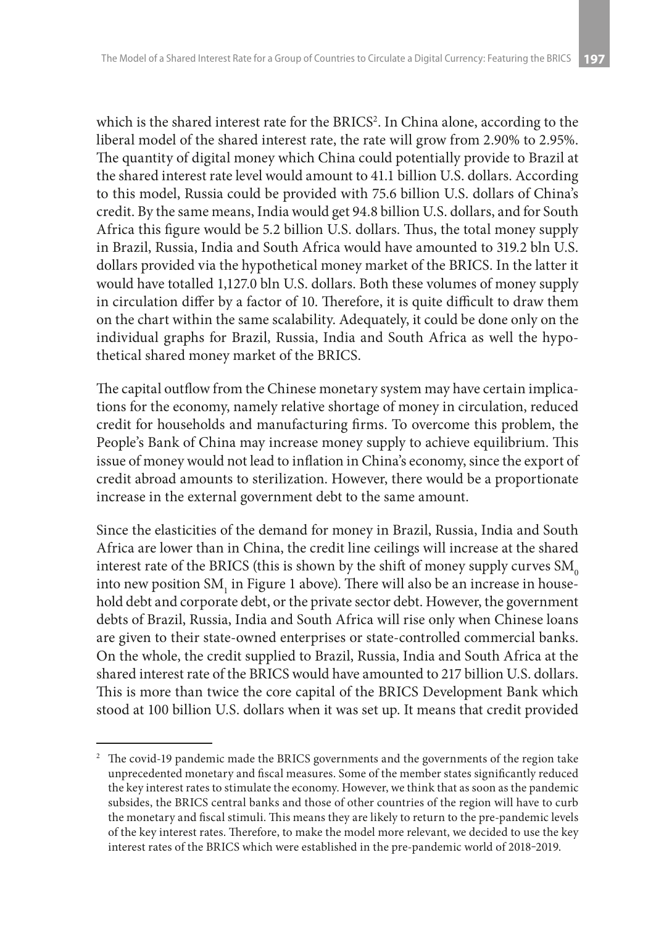which is the shared interest rate for the BRICS<sup>2</sup>. In China alone, according to the liberal model of the shared interest rate, the rate will grow from 2.90% to 2.95%. The quantity of digital money which China could potentially provide to Brazil at the shared interest rate level would amount to 41.1 billion U.S. dollars. According to this model, Russia could be provided with 75.6 billion U.S. dollars of China's credit. By the same means, India would get 94.8 billion U.S. dollars, and for South Africa this figure would be 5.2 billion U.S. dollars. Thus, the total money supply in Brazil, Russia, India and South Africa would have amounted to 319.2 bln U.S. dollars provided via the hypothetical money market of the BRICS. In the latter it would have totalled 1,127.0 bln U.S. dollars. Both these volumes of money supply in circulation differ by a factor of 10. Therefore, it is quite difficult to draw them on the chart within the same scalability. Adequately, it could be done only on the individual graphs for Brazil, Russia, India and South Africa as well the hypothetical shared money market of the BRICS.

The capital outflow from the Chinese monetary system may have certain implications for the economy, namely relative shortage of money in circulation, reduced credit for households and manufacturing firms. To overcome this problem, the People's Bank of China may increase money supply to achieve equilibrium. This issue of money would not lead to inflation in China's economy, since the export of credit abroad amounts to sterilization. However, there would be a proportionate increase in the external government debt to the same amount.

Since the elasticities of the demand for money in Brazil, Russia, India and South Africa are lower than in China, the credit line ceilings will increase at the shared interest rate of the BRICS (this is shown by the shift of money supply curves  $SM<sub>0</sub>$ into new position SM $_{_{\rm 1}}$  in Figure 1 above). There will also be an increase in household debt and corporate debt, or the private sector debt. However, the government debts of Brazil, Russia, India and South Africa will rise only when Chinese loans are given to their state-owned enterprises or state-controlled commercial banks. On the whole, the credit supplied to Brazil, Russia, India and South Africa at the shared interest rate of the BRICS would have amounted to 217 billion U.S. dollars. This is more than twice the core capital of the BRICS Development Bank which stood at 100 billion U.S. dollars when it was set up. It means that credit provided

<sup>&</sup>lt;sup>2</sup> The covid-19 pandemic made the BRICS governments and the governments of the region take unprecedented monetary and fiscal measures. Some of the member states significantly reduced the key interest rates to stimulate the economy. However, we think that as soon as the pandemic subsides, the BRICS central banks and those of other countries of the region will have to curb the monetary and fiscal stimuli. This means they are likely to return to the pre-pandemic levels of the key interest rates. Therefore, to make the model more relevant, we decided to use the key interest rates of the BRICS which were established in the pre-pandemic world of 2018-2019.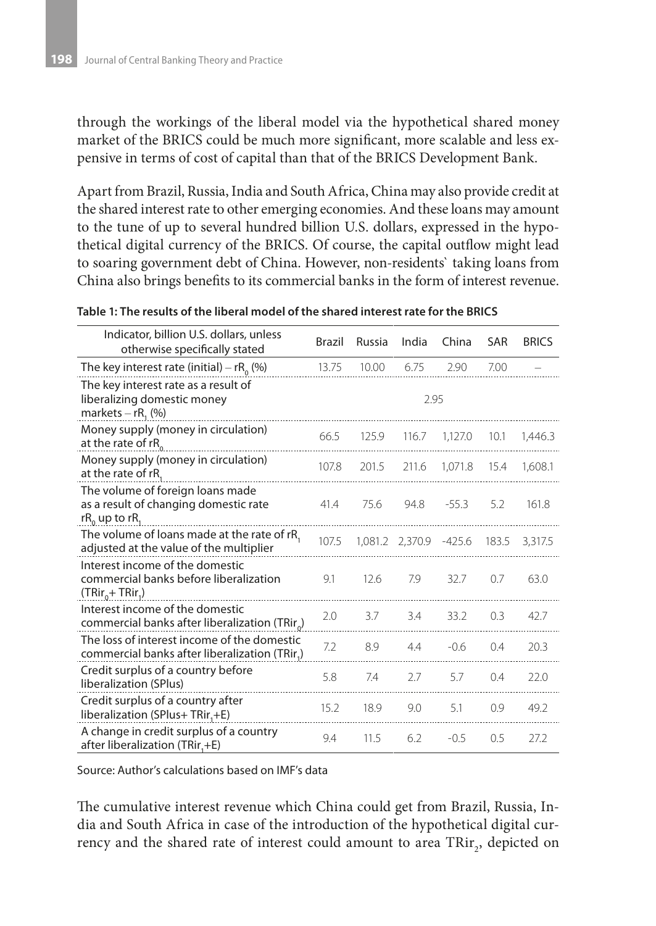through the workings of the liberal model via the hypothetical shared money market of the BRICS could be much more significant, more scalable and less expensive in terms of cost of capital than that of the BRICS Development Bank.

Apart from Brazil, Russia, India and South Africa, China may also provide credit at the shared interest rate to other emerging economies. And these loans may amount to the tune of up to several hundred billion U.S. dollars, expressed in the hypothetical digital currency of the BRICS. Of course, the capital outflow might lead to soaring government debt of China. However, non-residents` taking loans from China also brings benefits to its commercial banks in the form of interest revenue.

| Indicator, billion U.S. dollars, unless<br>otherwise specifically stated                               | Brazil | Russia | India                  | China   | SAR   | <b>BRICS</b> |  |  |
|--------------------------------------------------------------------------------------------------------|--------|--------|------------------------|---------|-------|--------------|--|--|
| The key interest rate (initial) – $rR_0$ (%)                                                           | 13.75  | 10.00  | 6.75                   | 2.90    | 7.00  |              |  |  |
| The key interest rate as a result of<br>liberalizing domestic money<br>markets $-$ rR <sub>1</sub> (%) |        | 2.95   |                        |         |       |              |  |  |
| Money supply (money in circulation)<br>at the rate of rR                                               | 66.5   | 125.9  | 116.7                  | 1,127.0 | 10.1  | 1,446.3      |  |  |
| Money supply (money in circulation)<br>at the rate of rR,                                              | 107.8  | 201.5  | 211.6                  | 1,071.8 | 15.4  | 1,608.1      |  |  |
| The volume of foreign loans made<br>as a result of changing domestic rate<br>$rR_0$ up to r $R_1$      | 41.4   | 75.6   | 94.8                   | $-55.3$ | 5.2   | 161.8        |  |  |
| The volume of loans made at the rate of rR,<br>adjusted at the value of the multiplier                 | 107.5  |        | 1.081.2 2.370.9 -425.6 |         | 183.5 | 3.317.5      |  |  |
| Interest income of the domestic<br>commercial banks before liberalization<br>$(TRir_{0} + TRir_{1})$   | 9.1    | 12.6   | 7.9                    | 32.7    | 0.7   | 63.0         |  |  |
| Interest income of the domestic<br>commercial banks after liberalization (TRir <sub>o</sub> )          | 2.0    | 3.7    | 3.4                    | 33.2    | 0.3   | 42.7         |  |  |
| The loss of interest income of the domestic<br>commercial banks after liberalization (TRir.)           | 7.2    | 8.9    | 4.4                    | $-0.6$  | 0.4   | 20.3         |  |  |
| Credit surplus of a country before<br>liberalization (SPlus)                                           | 5.8    | 7.4    | 2.7                    | 5.7     | 0.4   | 22.0         |  |  |
| Credit surplus of a country after<br>liberalization (SPlus+ TRir,+E)                                   | 15.2   | 18.9   | 9.0                    | 5.1     | 0.9   | 49.2         |  |  |
| A change in credit surplus of a country<br>after liberalization (TRir,+E)                              | 9.4    | 11.5   | 6.2                    | $-0.5$  | 0.5   | 27.2         |  |  |

#### **Table 1: The results of the liberal model of the shared interest rate for the BRICS**

Source: Author's calculations based on IMF's data

The cumulative interest revenue which China could get from Brazil, Russia, India and South Africa in case of the introduction of the hypothetical digital currency and the shared rate of interest could amount to area  $\text{TRir}_{\scriptscriptstyle{2}},$  depicted on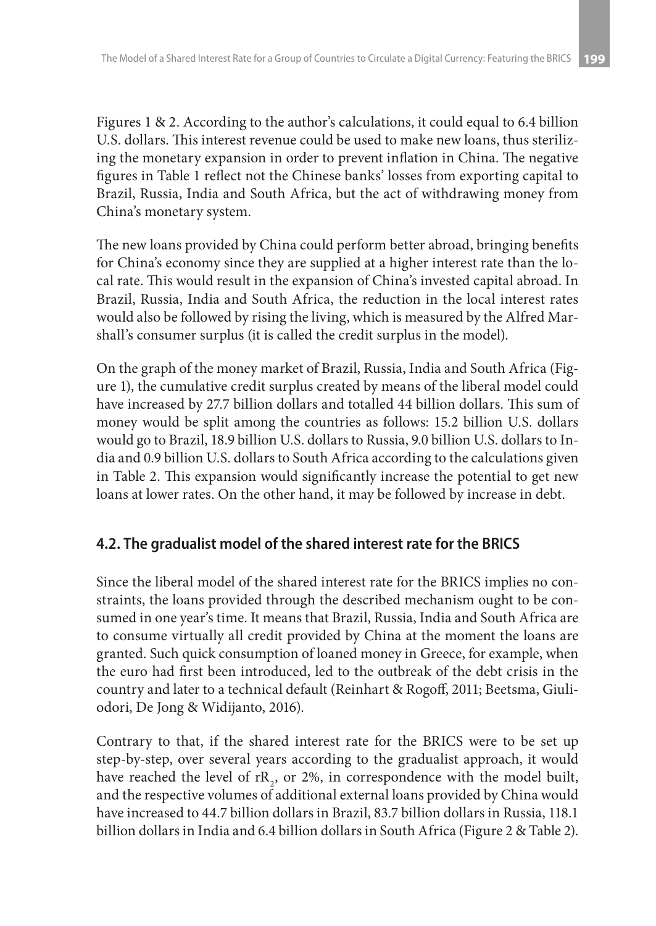Figures 1 & 2. According to the author's calculations, it could equal to 6.4 billion U.S. dollars. This interest revenue could be used to make new loans, thus sterilizing the monetary expansion in order to prevent inflation in China. The negative figures in Table 1 reflect not the Chinese banks' losses from exporting capital to Brazil, Russia, India and South Africa, but the act of withdrawing money from China's monetary system.

The new loans provided by China could perform better abroad, bringing benefits for China's economy since they are supplied at a higher interest rate than the local rate. This would result in the expansion of China's invested capital abroad. In Brazil, Russia, India and South Africa, the reduction in the local interest rates would also be followed by rising the living, which is measured by the Alfred Marshall's consumer surplus (it is called the credit surplus in the model).

On the graph of the money market of Brazil, Russia, India and South Africa (Figure 1), the cumulative credit surplus created by means of the liberal model could have increased by 27.7 billion dollars and totalled 44 billion dollars. This sum of money would be split among the countries as follows: 15.2 billion U.S. dollars would go to Brazil, 18.9 billion U.S. dollars to Russia, 9.0 billion U.S. dollars to India and 0.9 billion U.S. dollars to South Africa according to the calculations given in Table 2. This expansion would significantly increase the potential to get new loans at lower rates. On the other hand, it may be followed by increase in debt.

### **4.2. The gradualist model of the shared interest rate for the BRICS**

Since the liberal model of the shared interest rate for the BRICS implies no constraints, the loans provided through the described mechanism ought to be consumed in one year's time. It means that Brazil, Russia, India and South Africa are to consume virtually all credit provided by China at the moment the loans are granted. Such quick consumption of loaned money in Greece, for example, when the euro had first been introduced, led to the outbreak of the debt crisis in the country and later to a technical default (Reinhart & Rogoff, 2011; Beetsma, Giuliodori, De Jong & Widijanto, 2016).

Contrary to that, if the shared interest rate for the BRICS were to be set up step-by-step, over several years according to the gradualist approach, it would have reached the level of  $rR_2$ , or 2%, in correspondence with the model built, and the respective volumes of additional external loans provided by China would have increased to 44.7 billion dollars in Brazil, 83.7 billion dollars in Russia, 118.1 billion dollars in India and 6.4 billion dollars in South Africa (Figure 2 & Table 2).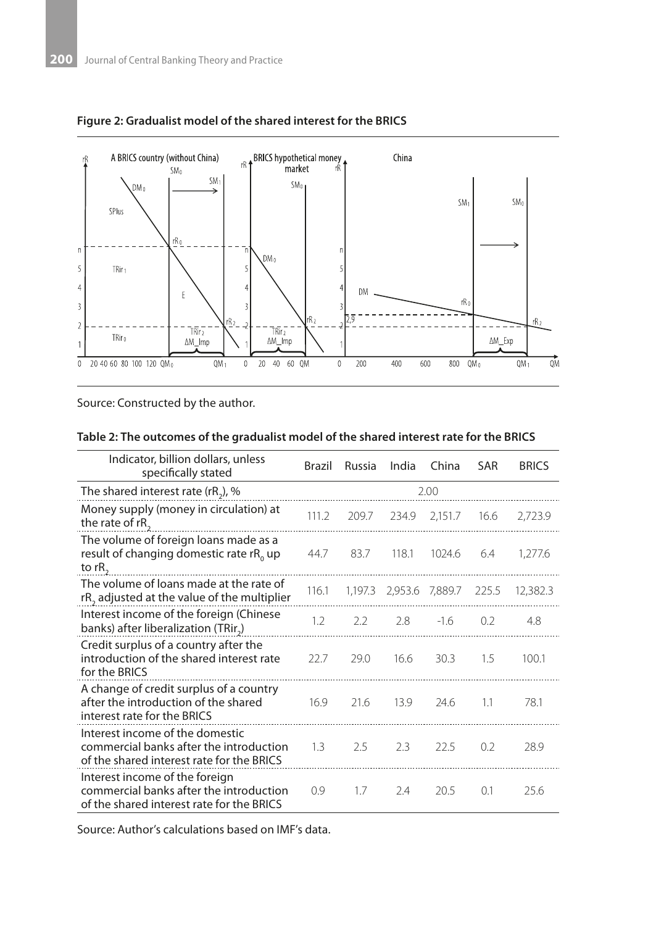



Source: Constructed by the author.

#### **Table 2: The outcomes of the gradualist model of the shared interest rate for the BRICS**

| Indicator, billion dollars, unless<br>specifically stated                                                               | Brazil | Russia | India | China                   | <b>SAR</b> | <b>BRICS</b> |  |  |  |
|-------------------------------------------------------------------------------------------------------------------------|--------|--------|-------|-------------------------|------------|--------------|--|--|--|
| The shared interest rate (rR <sub>2</sub> ), %                                                                          | 2.00   |        |       |                         |            |              |  |  |  |
| Money supply (money in circulation) at<br>the rate of rR,                                                               | 111.2  | 209.7  | 234.9 | 2,151.7                 | 16.6       | 2,723.9      |  |  |  |
| The volume of foreign loans made as a<br>result of changing domestic rate rR <sub>0</sub> up<br>to $rR$ ,               | 44.7   | 83.7   | 118.1 | 1024.6                  | 6.4        | 1,277.6      |  |  |  |
| The volume of loans made at the rate of<br>rR <sub>2</sub> adjusted at the value of the multiplier                      | 116.1  |        |       | 1,197.3 2,953.6 7,889.7 | 225.5      | 12,382.3     |  |  |  |
| Interest income of the foreign (Chinese<br>banks) after liberalization (TRir <sub>2</sub> )                             | 1.2    | 2.2    | 2.8   | $-1.6$                  | 0.2        | 4.8          |  |  |  |
| Credit surplus of a country after the<br>introduction of the shared interest rate<br>for the BRICS                      | 22.7   | 29.0   | 16.6  | 30.3                    | 1.5        | 100.1        |  |  |  |
| A change of credit surplus of a country<br>after the introduction of the shared<br>interest rate for the BRICS          | 16.9   | 21.6   | 13.9  | 24.6                    | 1.1        | 78.1         |  |  |  |
| Interest income of the domestic<br>commercial banks after the introduction<br>of the shared interest rate for the BRICS | 1.3    | 2.5    | 2.3   | 22.5                    | 0.2        | 28.9         |  |  |  |
| Interest income of the foreign<br>commercial banks after the introduction<br>of the shared interest rate for the BRICS  | 0.9    | 1.7    | 7.4   | 20.5                    | 0.1        | 25.6         |  |  |  |

Source: Author's calculations based on IMF's data.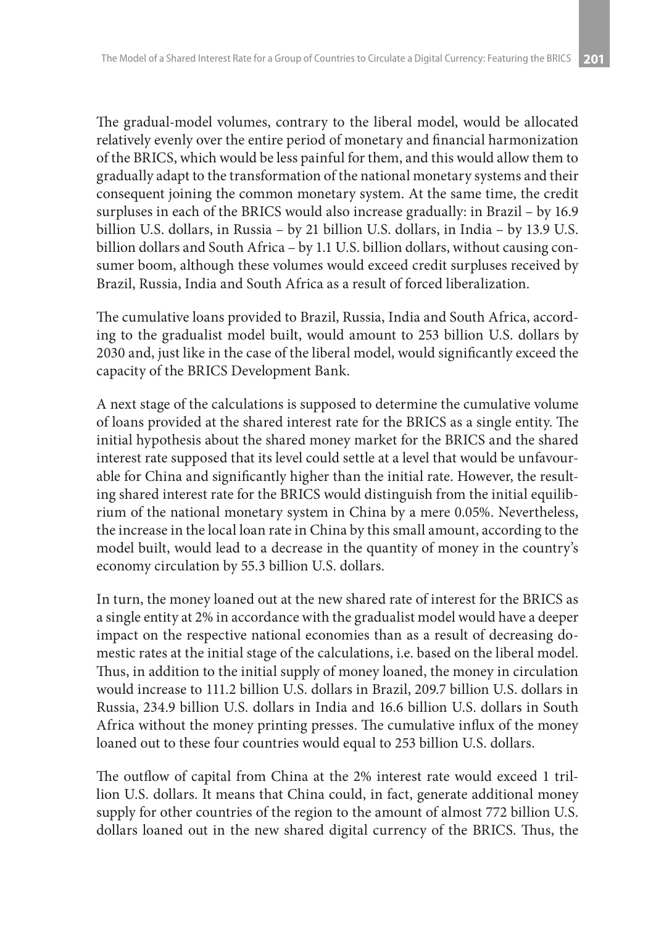The gradual-model volumes, contrary to the liberal model, would be allocated relatively evenly over the entire period of monetary and financial harmonization of the BRICS, which would be less painful for them, and this would allow them to gradually adapt to the transformation of the national monetary systems and their consequent joining the common monetary system. At the same time, the credit surpluses in each of the BRICS would also increase gradually: in Brazil – by 16.9 billion U.S. dollars, in Russia – by 21 billion U.S. dollars, in India – by 13.9 U.S. billion dollars and South Africa – by 1.1 U.S. billion dollars, without causing consumer boom, although these volumes would exceed credit surpluses received by Brazil, Russia, India and South Africa as a result of forced liberalization.

The cumulative loans provided to Brazil, Russia, India and South Africa, according to the gradualist model built, would amount to 253 billion U.S. dollars by 2030 and, just like in the case of the liberal model, would significantly exceed the capacity of the BRICS Development Bank.

A next stage of the calculations is supposed to determine the cumulative volume of loans provided at the shared interest rate for the BRICS as a single entity. The initial hypothesis about the shared money market for the BRICS and the shared interest rate supposed that its level could settle at a level that would be unfavourable for China and significantly higher than the initial rate. However, the resulting shared interest rate for the BRICS would distinguish from the initial equilibrium of the national monetary system in China by a mere 0.05%. Nevertheless, the increase in the local loan rate in China by this small amount, according to the model built, would lead to a decrease in the quantity of money in the country's economy circulation by 55.3 billion U.S. dollars.

In turn, the money loaned out at the new shared rate of interest for the BRICS as a single entity at 2% in accordance with the gradualist model would have a deeper impact on the respective national economies than as a result of decreasing domestic rates at the initial stage of the calculations, i.e. based on the liberal model. Thus, in addition to the initial supply of money loaned, the money in circulation would increase to 111.2 billion U.S. dollars in Brazil, 209.7 billion U.S. dollars in Russia, 234.9 billion U.S. dollars in India and 16.6 billion U.S. dollars in South Africa without the money printing presses. The cumulative influx of the money loaned out to these four countries would equal to 253 billion U.S. dollars.

The outflow of capital from China at the 2% interest rate would exceed 1 trillion U.S. dollars. It means that China could, in fact, generate additional money supply for other countries of the region to the amount of almost 772 billion U.S. dollars loaned out in the new shared digital currency of the BRICS. Thus, the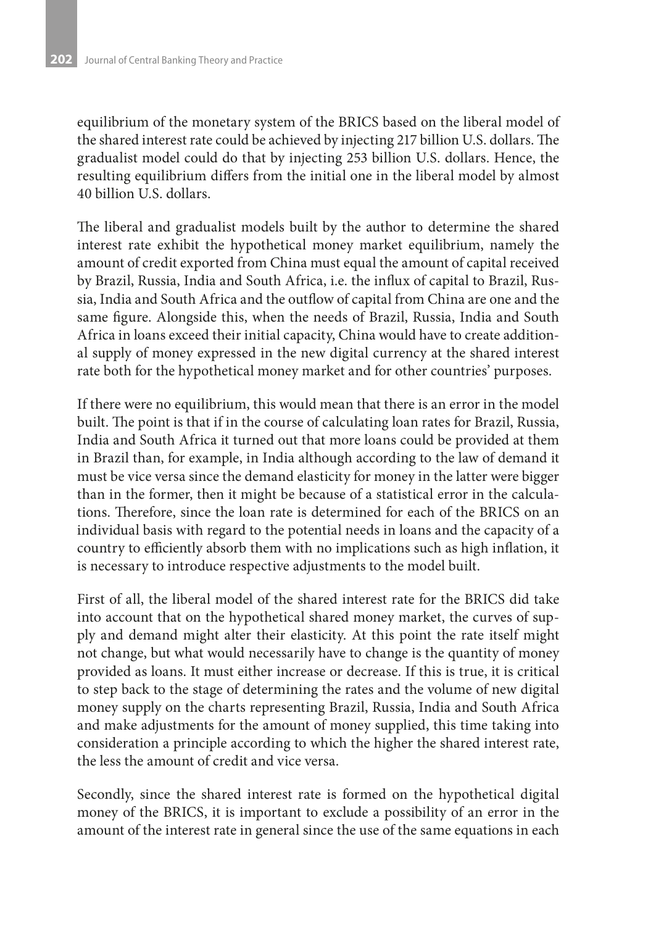equilibrium of the monetary system of the BRICS based on the liberal model of the shared interest rate could be achieved by injecting 217 billion U.S. dollars. The gradualist model could do that by injecting 253 billion U.S. dollars. Hence, the resulting equilibrium differs from the initial one in the liberal model by almost 40 billion U.S. dollars.

The liberal and gradualist models built by the author to determine the shared interest rate exhibit the hypothetical money market equilibrium, namely the amount of credit exported from China must equal the amount of capital received by Brazil, Russia, India and South Africa, i.e. the influx of capital to Brazil, Russia, India and South Africa and the outflow of capital from China are one and the same figure. Alongside this, when the needs of Brazil, Russia, India and South Africa in loans exceed their initial capacity, China would have to create additional supply of money expressed in the new digital currency at the shared interest rate both for the hypothetical money market and for other countries' purposes.

If there were no equilibrium, this would mean that there is an error in the model built. The point is that if in the course of calculating loan rates for Brazil, Russia, India and South Africa it turned out that more loans could be provided at them in Brazil than, for example, in India although according to the law of demand it must be vice versa since the demand elasticity for money in the latter were bigger than in the former, then it might be because of a statistical error in the calculations. Therefore, since the loan rate is determined for each of the BRICS on an individual basis with regard to the potential needs in loans and the capacity of a country to efficiently absorb them with no implications such as high inflation, it is necessary to introduce respective adjustments to the model built.

First of all, the liberal model of the shared interest rate for the BRICS did take into account that on the hypothetical shared money market, the curves of supply and demand might alter their elasticity. At this point the rate itself might not change, but what would necessarily have to change is the quantity of money provided as loans. It must either increase or decrease. If this is true, it is critical to step back to the stage of determining the rates and the volume of new digital money supply on the charts representing Brazil, Russia, India and South Africa and make adjustments for the amount of money supplied, this time taking into consideration a principle according to which the higher the shared interest rate, the less the amount of credit and vice versa.

Secondly, since the shared interest rate is formed on the hypothetical digital money of the BRICS, it is important to exclude a possibility of an error in the amount of the interest rate in general since the use of the same equations in each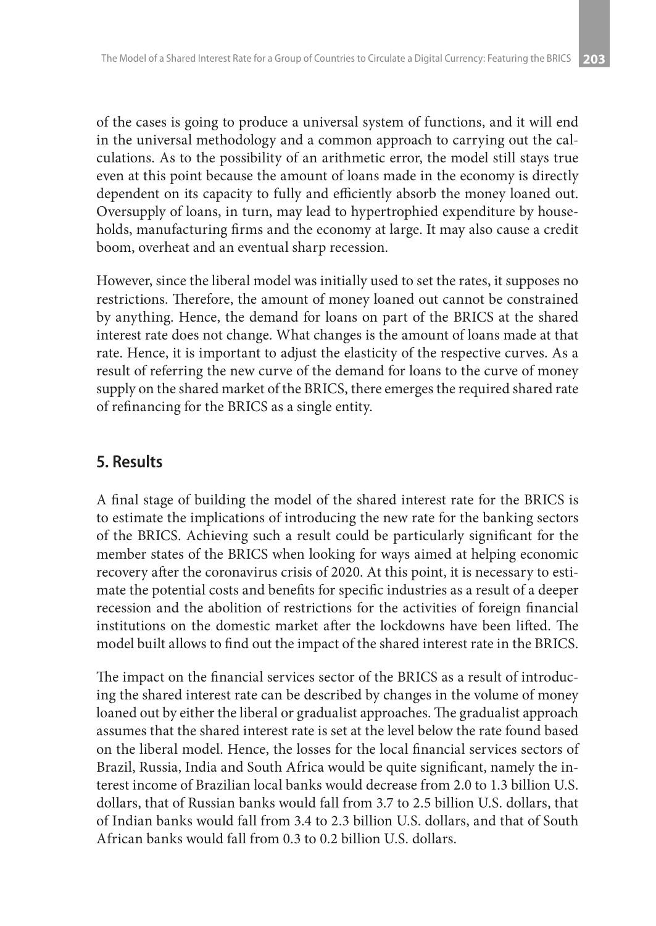of the cases is going to produce a universal system of functions, and it will end in the universal methodology and a common approach to carrying out the calculations. As to the possibility of an arithmetic error, the model still stays true even at this point because the amount of loans made in the economy is directly dependent on its capacity to fully and efficiently absorb the money loaned out. Oversupply of loans, in turn, may lead to hypertrophied expenditure by households, manufacturing firms and the economy at large. It may also cause a credit boom, overheat and an eventual sharp recession.

However, since the liberal model was initially used to set the rates, it supposes no restrictions. Therefore, the amount of money loaned out cannot be constrained by anything. Hence, the demand for loans on part of the BRICS at the shared interest rate does not change. What changes is the amount of loans made at that rate. Hence, it is important to adjust the elasticity of the respective curves. As a result of referring the new curve of the demand for loans to the curve of money supply on the shared market of the BRICS, there emerges the required shared rate of refinancing for the BRICS as a single entity.

# **5. Results**

A final stage of building the model of the shared interest rate for the BRICS is to estimate the implications of introducing the new rate for the banking sectors of the BRICS. Achieving such a result could be particularly significant for the member states of the BRICS when looking for ways aimed at helping economic recovery after the coronavirus crisis of 2020. At this point, it is necessary to estimate the potential costs and benefits for specific industries as a result of a deeper recession and the abolition of restrictions for the activities of foreign financial institutions on the domestic market after the lockdowns have been lifted. The model built allows to find out the impact of the shared interest rate in the BRICS.

The impact on the financial services sector of the BRICS as a result of introducing the shared interest rate can be described by changes in the volume of money loaned out by either the liberal or gradualist approaches. The gradualist approach assumes that the shared interest rate is set at the level below the rate found based on the liberal model. Hence, the losses for the local financial services sectors of Brazil, Russia, India and South Africa would be quite significant, namely the interest income of Brazilian local banks would decrease from 2.0 to 1.3 billion U.S. dollars, that of Russian banks would fall from 3.7 to 2.5 billion U.S. dollars, that of Indian banks would fall from 3.4 to 2.3 billion U.S. dollars, and that of South African banks would fall from 0.3 to 0.2 billion U.S. dollars.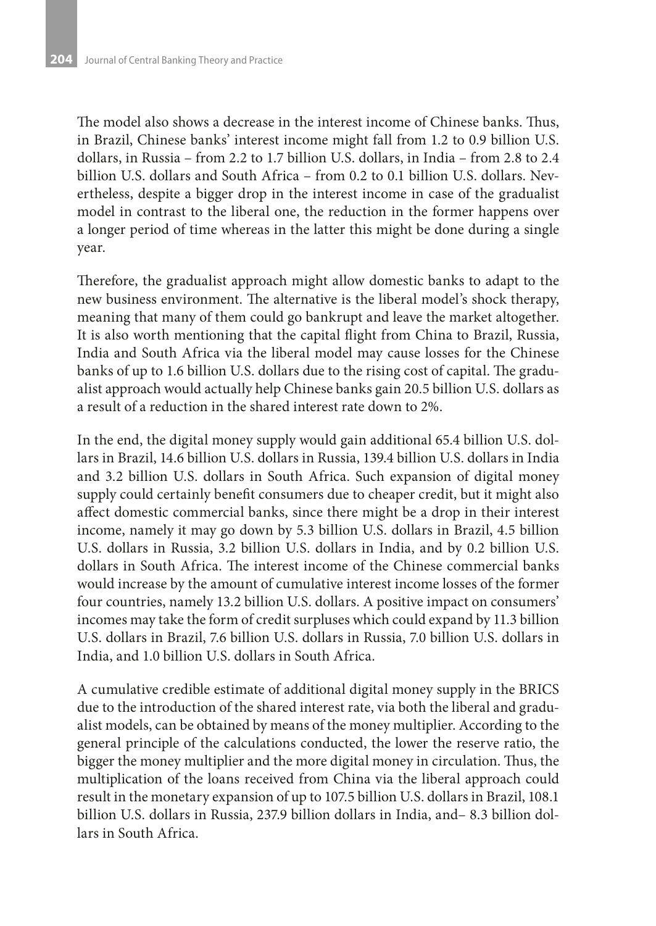The model also shows a decrease in the interest income of Chinese banks. Thus, in Brazil, Chinese banks' interest income might fall from 1.2 to 0.9 billion U.S. dollars, in Russia – from 2.2 to 1.7 billion U.S. dollars, in India – from 2.8 to 2.4 billion U.S. dollars and South Africa – from 0.2 to 0.1 billion U.S. dollars. Nevertheless, despite a bigger drop in the interest income in case of the gradualist model in contrast to the liberal one, the reduction in the former happens over a longer period of time whereas in the latter this might be done during a single year.

Therefore, the gradualist approach might allow domestic banks to adapt to the new business environment. The alternative is the liberal model's shock therapy, meaning that many of them could go bankrupt and leave the market altogether. It is also worth mentioning that the capital flight from China to Brazil, Russia, India and South Africa via the liberal model may cause losses for the Chinese banks of up to 1.6 billion U.S. dollars due to the rising cost of capital. The gradualist approach would actually help Chinese banks gain 20.5 billion U.S. dollars as a result of a reduction in the shared interest rate down to 2%.

In the end, the digital money supply would gain additional 65.4 billion U.S. dollars in Brazil, 14.6 billion U.S. dollars in Russia, 139.4 billion U.S. dollars in India and 3.2 billion U.S. dollars in South Africa. Such expansion of digital money supply could certainly benefit consumers due to cheaper credit, but it might also affect domestic commercial banks, since there might be a drop in their interest income, namely it may go down by 5.3 billion U.S. dollars in Brazil, 4.5 billion U.S. dollars in Russia, 3.2 billion U.S. dollars in India, and by 0.2 billion U.S. dollars in South Africa. The interest income of the Chinese commercial banks would increase by the amount of cumulative interest income losses of the former four countries, namely 13.2 billion U.S. dollars. A positive impact on consumers' incomes may take the form of credit surpluses which could expand by 11.3 billion U.S. dollars in Brazil, 7.6 billion U.S. dollars in Russia, 7.0 billion U.S. dollars in India, and 1.0 billion U.S. dollars in South Africa.

A cumulative credible estimate of additional digital money supply in the BRICS due to the introduction of the shared interest rate, via both the liberal and gradualist models, can be obtained by means of the money multiplier. According to the general principle of the calculations conducted, the lower the reserve ratio, the bigger the money multiplier and the more digital money in circulation. Thus, the multiplication of the loans received from China via the liberal approach could result in the monetary expansion of up to 107.5 billion U.S. dollars in Brazil, 108.1 billion U.S. dollars in Russia, 237.9 billion dollars in India, and– 8.3 billion dollars in South Africa.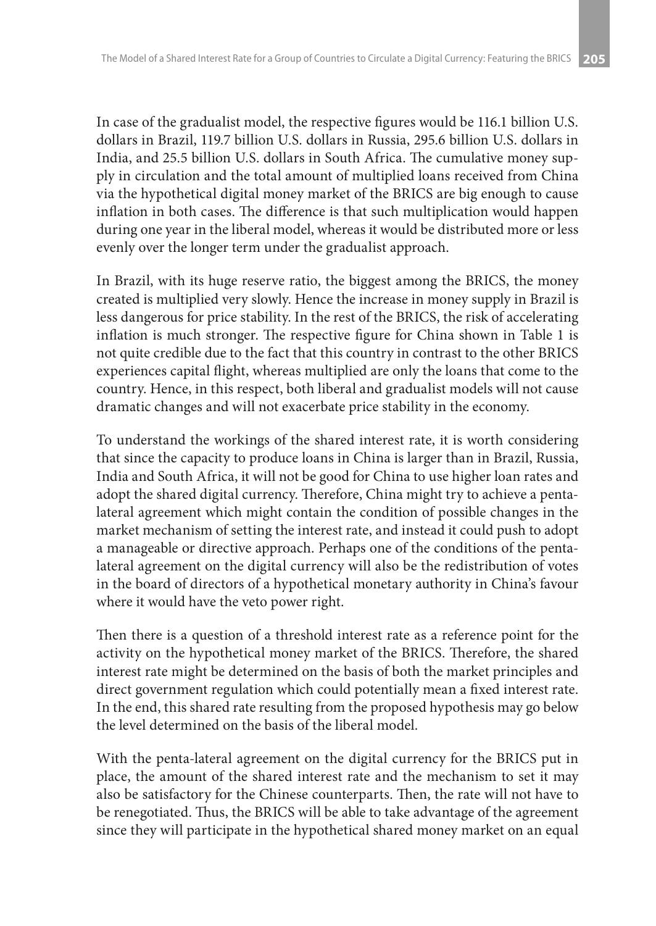In case of the gradualist model, the respective figures would be 116.1 billion U.S. dollars in Brazil, 119.7 billion U.S. dollars in Russia, 295.6 billion U.S. dollars in India, and 25.5 billion U.S. dollars in South Africa. The cumulative money supply in circulation and the total amount of multiplied loans received from China via the hypothetical digital money market of the BRICS are big enough to cause inflation in both cases. The difference is that such multiplication would happen during one year in the liberal model, whereas it would be distributed more or less evenly over the longer term under the gradualist approach.

In Brazil, with its huge reserve ratio, the biggest among the BRICS, the money created is multiplied very slowly. Hence the increase in money supply in Brazil is less dangerous for price stability. In the rest of the BRICS, the risk of accelerating inflation is much stronger. The respective figure for China shown in Table 1 is not quite credible due to the fact that this country in contrast to the other BRICS experiences capital flight, whereas multiplied are only the loans that come to the country. Hence, in this respect, both liberal and gradualist models will not cause dramatic changes and will not exacerbate price stability in the economy.

To understand the workings of the shared interest rate, it is worth considering that since the capacity to produce loans in China is larger than in Brazil, Russia, India and South Africa, it will not be good for China to use higher loan rates and adopt the shared digital currency. Therefore, China might try to achieve a pentalateral agreement which might contain the condition of possible changes in the market mechanism of setting the interest rate, and instead it could push to adopt a manageable or directive approach. Perhaps one of the conditions of the pentalateral agreement on the digital currency will also be the redistribution of votes in the board of directors of a hypothetical monetary authority in China's favour where it would have the veto power right.

Then there is a question of a threshold interest rate as a reference point for the activity on the hypothetical money market of the BRICS. Therefore, the shared interest rate might be determined on the basis of both the market principles and direct government regulation which could potentially mean a fixed interest rate. In the end, this shared rate resulting from the proposed hypothesis may go below the level determined on the basis of the liberal model.

With the penta-lateral agreement on the digital currency for the BRICS put in place, the amount of the shared interest rate and the mechanism to set it may also be satisfactory for the Chinese counterparts. Then, the rate will not have to be renegotiated. Thus, the BRICS will be able to take advantage of the agreement since they will participate in the hypothetical shared money market on an equal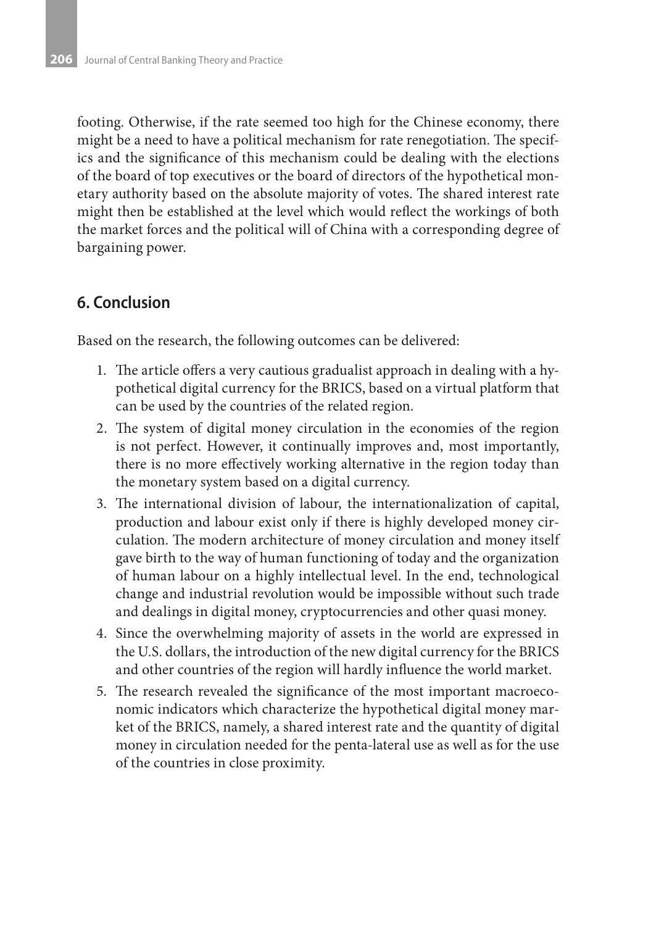footing. Otherwise, if the rate seemed too high for the Chinese economy, there might be a need to have a political mechanism for rate renegotiation. The specifics and the significance of this mechanism could be dealing with the elections of the board of top executives or the board of directors of the hypothetical monetary authority based on the absolute majority of votes. The shared interest rate might then be established at the level which would reflect the workings of both the market forces and the political will of China with a corresponding degree of bargaining power.

### **6. Conclusion**

Based on the research, the following outcomes can be delivered:

- 1. The article offers a very cautious gradualist approach in dealing with a hypothetical digital currency for the BRICS, based on a virtual platform that can be used by the countries of the related region.
- 2. The system of digital money circulation in the economies of the region is not perfect. However, it continually improves and, most importantly, there is no more effectively working alternative in the region today than the monetary system based on a digital currency.
- 3. The international division of labour, the internationalization of capital, production and labour exist only if there is highly developed money circulation. The modern architecture of money circulation and money itself gave birth to the way of human functioning of today and the organization of human labour on a highly intellectual level. In the end, technological change and industrial revolution would be impossible without such trade and dealings in digital money, cryptocurrencies and other quasi money.
- 4. Since the overwhelming majority of assets in the world are expressed in the U.S. dollars, the introduction of the new digital currency for the BRICS and other countries of the region will hardly influence the world market.
- 5. The research revealed the significance of the most important macroeconomic indicators which characterize the hypothetical digital money market of the BRICS, namely, a shared interest rate and the quantity of digital money in circulation needed for the penta-lateral use as well as for the use of the countries in close proximity.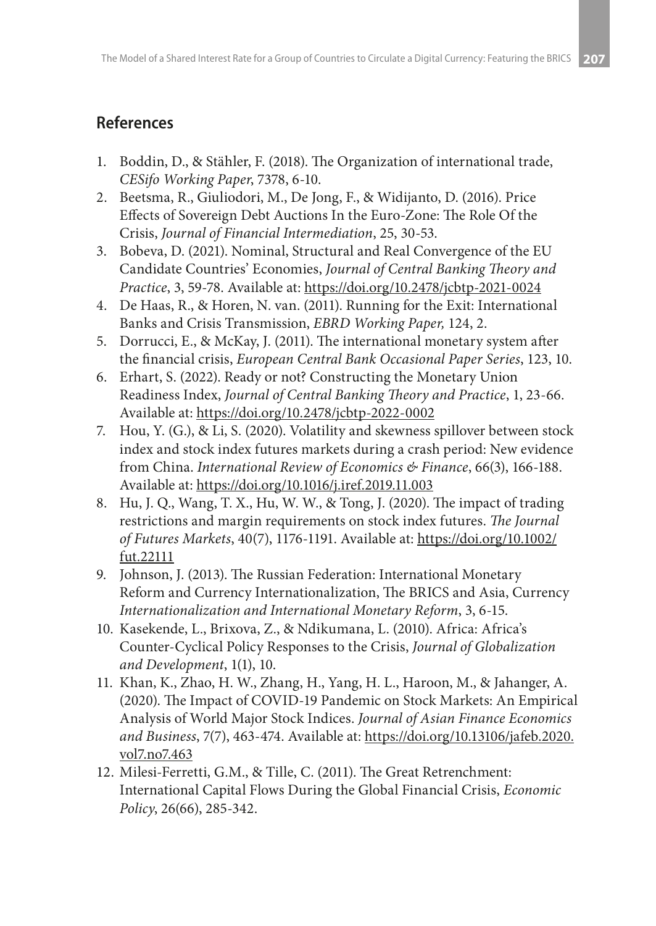# **References**

- 1. Boddin, D., & Stähler, F. (2018). The Organization of international trade, *CESifo Working Paper*, 7378, 6-10.
- 2. Beetsma, R., Giuliodori, M., De Jong, F., & Widijanto, D. (2016). Price Effects of Sovereign Debt Auctions In the Euro-Zone: The Role Of the Crisis, *Journal of Financial Intermediation*, 25, 30-53.
- 3. Bobeva, D. (2021). Nominal, Structural and Real Convergence of the EU Candidate Countries' Economies, *Journal of Central Banking Theory and Practice*, 3, 59-78. Available at: https://doi.org/10.2478/jcbtp-2021-0024
- 4. De Haas, R., & Horen, N. van. (2011). Running for the Exit: International Banks and Crisis Transmission, *EBRD Working Paper,* 124, 2.
- 5. Dorrucci, E., & McKay, J. (2011). The international monetary system after the financial crisis, *European Central Bank Occasional Paper Series*, 123, 10.
- 6. Erhart, S. (2022). Ready or not? Constructing the Monetary Union Readiness Index, *Journal of Central Banking Theory and Practice*, 1, 23-66. Available at: https://doi.org/10.2478/jcbtp-2022-0002
- 7. Hou, Y. (G.), & Li, S. (2020). Volatility and skewness spillover between stock index and stock index futures markets during a crash period: New evidence from China. *International Review of Economics & Finance*, 66(3), 166-188. Available at: https://doi.org/10.1016/j.iref.2019.11.003
- 8. Hu, J. Q., Wang, T. X., Hu, W. W., & Tong, J. (2020). The impact of trading restrictions and margin requirements on stock index futures. *The Journal of Futures Markets*, 40(7), 1176-1191. Available at: https://doi.org/10.1002/ fut.22111
- 9. Johnson, J. (2013). The Russian Federation: International Monetary Reform and Currency Internationalization, The BRICS and Asia, Currency *Internationalization and International Monetary Reform*, 3, 6-15.
- 10. Kasekende, L., Brixova, Z., & Ndikumana, L. (2010). Africa: Africa's Counter-Cyclical Policy Responses to the Crisis, *Journal of Globalization and Development*, 1(1), 10.
- 11. Khan, K., Zhao, H. W., Zhang, H., Yang, H. L., Haroon, M., & Jahanger, A. (2020). The Impact of COVID-19 Pandemic on Stock Markets: An Empirical Analysis of World Major Stock Indices. *Journal of Asian Finance Economics and Business*, 7(7), 463-474. Available at: https://doi.org/10.13106/jafeb.2020. vol7.no7.463
- 12. Milesi-Ferretti, G.M., & Tille, C. (2011). The Great Retrenchment: International Capital Flows During the Global Financial Crisis, *Economic Policy*, 26(66), 285-342.